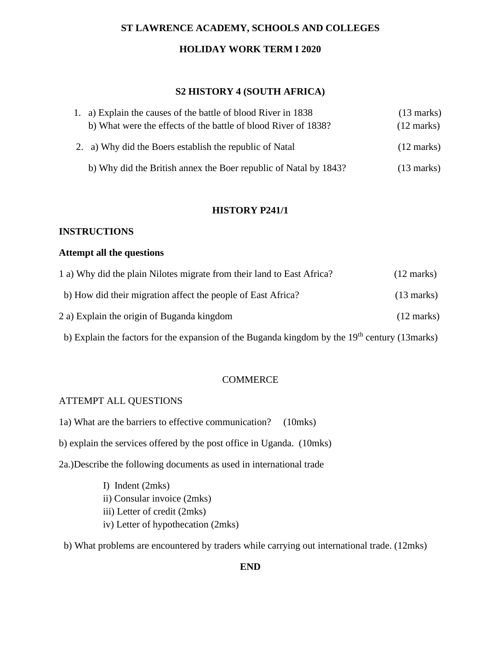# **ST LAWRENCE ACADEMY, SCHOOLS AND COLLEGES**

#### **HOLIDAY WORK TERM I 2020**

#### **S2 HISTORY 4 (SOUTH AFRICA)**

| 1. a) Explain the causes of the battle of blood River in 1838    | $(13 \text{ marks})$ |
|------------------------------------------------------------------|----------------------|
| b) What were the effects of the battle of blood River of 1838?   | $(12 \text{ marks})$ |
| 2. a) Why did the Boers establish the republic of Natal          | $(12 \text{ marks})$ |
| b) Why did the British annex the Boer republic of Natal by 1843? | $(13 \text{ marks})$ |

#### **HISTORY P241/1**

### **INSTRUCTIONS**

#### **Attempt all the questions**

| 1 a) Why did the plain Nilotes migrate from their land to East Africa? | $(12 \text{ marks})$ |
|------------------------------------------------------------------------|----------------------|
| b) How did their migration affect the people of East Africa?           | $(13 \text{ marks})$ |
| 2 a) Explain the origin of Buganda kingdom                             | $(12 \text{ marks})$ |

b) Explain the factors for the expansion of the Buganda kingdom by the  $19<sup>th</sup>$  century (13marks)

### **COMMERCE**

### ATTEMPT ALL QUESTIONS

- 1a) What are the barriers to effective communication? (10mks)
- b) explain the services offered by the post office in Uganda. (10mks)
- 2a.)Describe the following documents as used in international trade
	- I) Indent (2mks)
	- ii) Consular invoice (2mks)
	- iii) Letter of credit (2mks)
	- iv) Letter of hypothecation (2mks)

b) What problems are encountered by traders while carrying out international trade. (12mks)

**END**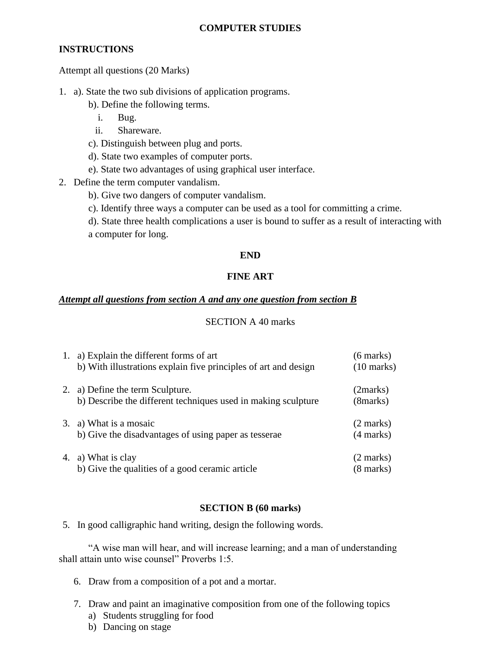# **INSTRUCTIONS**

Attempt all questions (20 Marks)

- 1. a). State the two sub divisions of application programs.
	- b). Define the following terms.
		- i. Bug.
		- ii. Shareware.
	- c). Distinguish between plug and ports.
	- d). State two examples of computer ports.
	- e). State two advantages of using graphical user interface.
- 2. Define the term computer vandalism.
	- b). Give two dangers of computer vandalism.
	- c). Identify three ways a computer can be used as a tool for committing a crime.
	- d). State three health complications a user is bound to suffer as a result of interacting with a computer for long.

# **END**

# **FINE ART**

# *Attempt all questions from section A and any one question from section B*

# SECTION A 40 marks

| 1. | a) Explain the different forms of art<br>b) With illustrations explain five principles of art and design | $(6 \text{ marks})$<br>$(10 \text{ marks})$ |
|----|----------------------------------------------------------------------------------------------------------|---------------------------------------------|
| 2. | a) Define the term Sculpture.<br>b) Describe the different techniques used in making sculpture           | (2marks)<br>(8marks)                        |
|    | 3. a) What is a mosaic<br>b) Give the disadvantages of using paper as tesserae                           | $(2 \text{ marks})$<br>$(4 \text{ marks})$  |
|    | 4. a) What is clay<br>b) Give the qualities of a good ceramic article                                    | (2 marks)<br>$(8 \text{ marks})$            |

### **SECTION B (60 marks)**

5. In good calligraphic hand writing, design the following words.

"A wise man will hear, and will increase learning; and a man of understanding shall attain unto wise counsel" Proverbs 1:5.

- 6. Draw from a composition of a pot and a mortar.
- 7. Draw and paint an imaginative composition from one of the following topics
	- a) Students struggling for food
	- b) Dancing on stage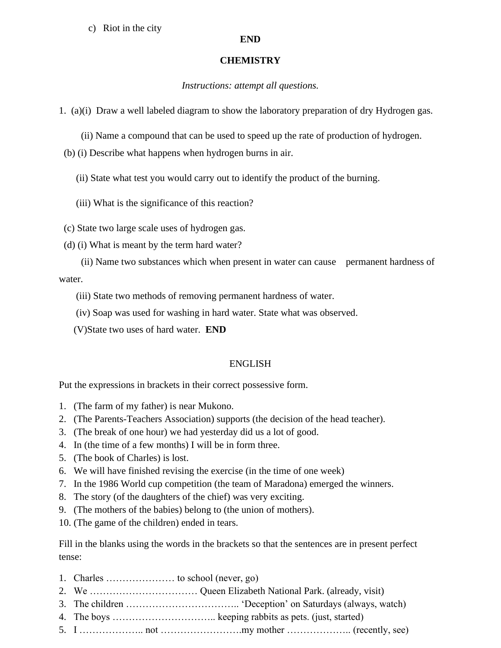c) Riot in the city

### **END**

# **CHEMISTRY**

# *Instructions: attempt all questions.*

1. (a)(i) Draw a well labeled diagram to show the laboratory preparation of dry Hydrogen gas.

- (ii) Name a compound that can be used to speed up the rate of production of hydrogen.
- (b) (i) Describe what happens when hydrogen burns in air.
	- (ii) State what test you would carry out to identify the product of the burning.
	- (iii) What is the significance of this reaction?
- (c) State two large scale uses of hydrogen gas.
- (d) (i) What is meant by the term hard water?
- (ii) Name two substances which when present in water can cause permanent hardness of water.
	- (iii) State two methods of removing permanent hardness of water.
	- (iv) Soap was used for washing in hard water. State what was observed.
	- (V)State two uses of hard water. **END**

# ENGLISH

Put the expressions in brackets in their correct possessive form.

- 1. (The farm of my father) is near Mukono.
- 2. (The Parents-Teachers Association) supports (the decision of the head teacher).
- 3. (The break of one hour) we had yesterday did us a lot of good.
- 4. In (the time of a few months) I will be in form three.
- 5. (The book of Charles) is lost.
- 6. We will have finished revising the exercise (in the time of one week)
- 7. In the 1986 World cup competition (the team of Maradona) emerged the winners.
- 8. The story (of the daughters of the chief) was very exciting.
- 9. (The mothers of the babies) belong to (the union of mothers).
- 10. (The game of the children) ended in tears.

Fill in the blanks using the words in the brackets so that the sentences are in present perfect tense:

- 1. Charles ………………… to school (never, go)
- 2. We …………………………… Queen Elizabeth National Park. (already, visit)
- 3. The children …………………………….. 'Deception' on Saturdays (always, watch)
- 4. The boys ………………………….. keeping rabbits as pets. (just, started)
- 5. I ……………….. not …………………….my mother ……………….. (recently, see)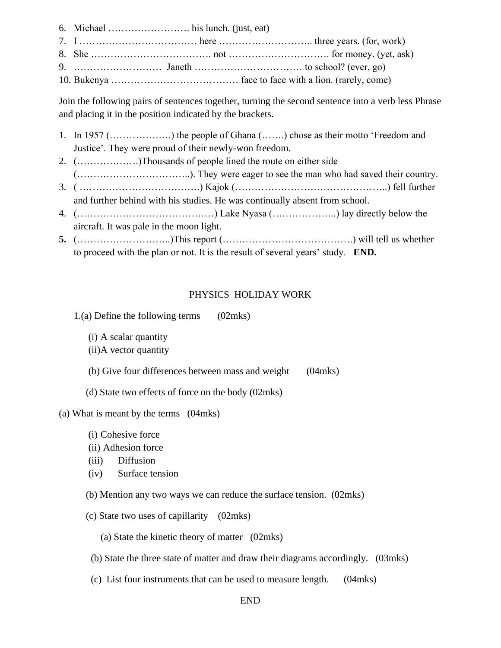6. Michael ……………………. his lunch. (just, eat) 7. I ……………………………… here ……………………….. three years. (for, work) 8. She  $\dots$  exercise modes not more money. (yet, ask) 9. ……………………… Janeth …………………………… to school? (ever, go)

10. Bukenya ………………………………… face to face with a lion. (rarely, come)

Join the following pairs of sentences together, turning the second sentence into a verb less Phrase and placing it in the position indicated by the brackets.

- 1. In 1957 (……………….) the people of Ghana (…….) chose as their motto 'Freedom and Justice'. They were proud of their newly-won freedom.
- 2. (……………….)Thousands of people lined the route on either side

(……………………………..). They were eager to see the man who had saved their country. 3. ( ……………………………….) Kajok (………………………………………..) fell further

- and further behind with his studies. He was continually absent from school.
- 4. (……………………………………) Lake Nyasa (………………..) lay directly below the aircraft. It was pale in the moon light.
- **5.** (………………………..)This report (………………………………….) will tell us whether to proceed with the plan or not. It is the result of several years' study. **END.**

# PHYSICS HOLIDAY WORK

1.(a) Define the following terms (02mks)

(i) A scalar quantity

(ii)A vector quantity

(b) Give four differences between mass and weight (04mks)

(d) State two effects of force on the body (02mks)

(a) What is meant by the terms (04mks)

(i) Cohesive force

(ii) Adhesion force

(iii) Diffusion

(iv) Surface tension

(b) Mention any two ways we can reduce the surface tension. (02mks)

(c) State two uses of capillarity (02mks)

(a) State the kinetic theory of matter (02mks)

(b) State the three state of matter and draw their diagrams accordingly. (03mks)

(c) List four instruments that can be used to measure length. (04mks)

END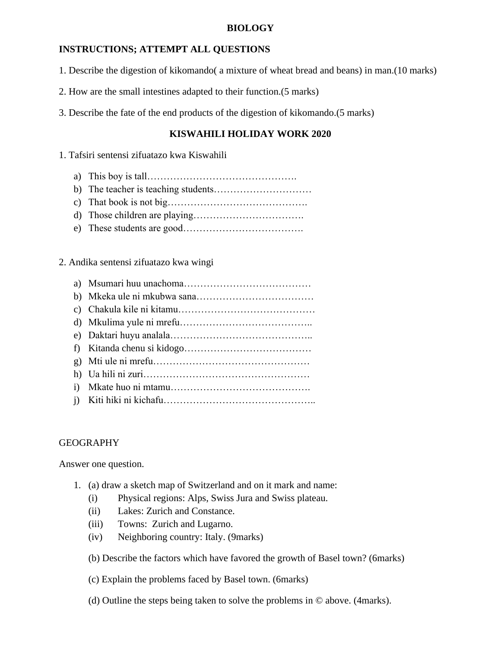### **BIOLOGY**

# **INSTRUCTIONS; ATTEMPT ALL QUESTIONS**

- 1. Describe the digestion of kikomando( a mixture of wheat bread and beans) in man.(10 marks)
- 2. How are the small intestines adapted to their function.(5 marks)

3. Describe the fate of the end products of the digestion of kikomando.(5 marks)

# **KISWAHILI HOLIDAY WORK 2020**

1. Tafsiri sentensi zifuatazo kwa Kiswahili

- a) This boy is tall……………………………………….
- b) The teacher is teaching students…………………………
- c) That book is not big…………………………………….
- d) Those children are playing…………………………….
- e) These students are good……………………………….
- 2. Andika sentensi zifuatazo kwa wingi
	- a) Msumari huu unachoma…………………………………
	- b) Mkeka ule ni mkubwa sana………………………………
	- c) Chakula kile ni kitamu……………………………………
	- d) Mkulima yule ni mrefu…………………………………..
	- e) Daktari huyu analala……………………………………..
	- f) Kitanda chenu si kidogo…………………………………
	- g) Mti ule ni mrefu…………………………………………
	- h) Ua hili ni zuri……………………………………………
	- i) Mkate huo ni mtamu…………………………………….
	- j) Kiti hiki ni kichafu………………………………………..

### GEOGRAPHY

Answer one question.

- 1. (a) draw a sketch map of Switzerland and on it mark and name:
	- (i) Physical regions: Alps, Swiss Jura and Swiss plateau.
	- (ii) Lakes: Zurich and Constance.
	- (iii) Towns: Zurich and Lugarno.
	- (iv) Neighboring country: Italy. (9marks)
	- (b) Describe the factors which have favored the growth of Basel town? (6marks)
	- (c) Explain the problems faced by Basel town. (6marks)
	- (d) Outline the steps being taken to solve the problems in © above. (4marks).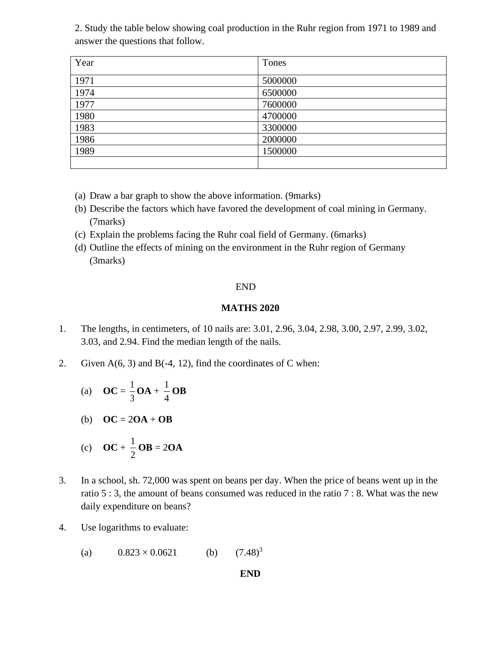2. Study the table below showing coal production in the Ruhr region from 1971 to 1989 and answer the questions that follow.

| Year | Tones   |
|------|---------|
| 1971 | 5000000 |
| 1974 | 6500000 |
| 1977 | 7600000 |
| 1980 | 4700000 |
| 1983 | 3300000 |
| 1986 | 2000000 |
| 1989 | 1500000 |
|      |         |

- (a) Draw a bar graph to show the above information. (9marks)
- (b) Describe the factors which have favored the development of coal mining in Germany. (7marks)
- (c) Explain the problems facing the Ruhr coal field of Germany. (6marks)
- (d) Outline the effects of mining on the environment in the Ruhr region of Germany (3marks)

#### END

#### **MATHS 2020**

- 1. The lengths, in centimeters, of 10 nails are: 3.01, 2.96, 3.04, 2.98, 3.00, 2.97, 2.99, 3.02, 3.03, and 2.94. Find the median length of the nails.
- 2. Given  $A(6, 3)$  and  $B(-4, 12)$ , find the coordinates of C when:
	- (a) **OC** =  $\frac{1}{3}$  $\frac{1}{3}$ **OA** +  $\frac{1}{4}$  $\frac{1}{\cdot}$ **OB**
	- (b)  $OC = 2OA + OB$

$$
(c) \quad \mathbf{OC} + \frac{1}{2}\mathbf{OB} = 2\mathbf{OA}
$$

- 3. In a school, sh. 72,000 was spent on beans per day. When the price of beans went up in the ratio 5 : 3, the amount of beans consumed was reduced in the ratio 7 : 8. What was the new daily expenditure on beans?
- 4. Use logarithms to evaluate:

(a)  $0.823 \times 0.0621$  (b)  $(7.48)^3$